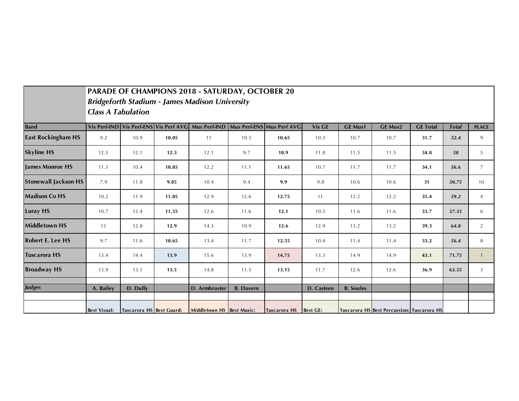|                             | <b>PARADE OF CHAMPIONS 2018 - SATURDAY, OCTOBER 20</b><br><b>Bridgeforth Stadium - James Madison University</b><br><b>Class A Tabulation</b> |                          |       |                                                     |                  |                           |                 |                  |                                            |                 |              |                |
|-----------------------------|----------------------------------------------------------------------------------------------------------------------------------------------|--------------------------|-------|-----------------------------------------------------|------------------|---------------------------|-----------------|------------------|--------------------------------------------|-----------------|--------------|----------------|
| <b>Band</b>                 |                                                                                                                                              |                          |       | Vis Perf-IND Vis Perf-ENS Vis Perf AVG Mus Perf-IND |                  | Mus Perf-ENS Mus Perf AVG | Vis GE          | <b>GE Mus1</b>   | <b>GE Mus2</b>                             | <b>GE Total</b> | <b>Total</b> | <b>PLACE</b>   |
| <b>East Rockingham HS</b>   | 9.2                                                                                                                                          | 10.9                     | 10.05 | 11                                                  | 10.3             | 10.65                     | 10.3            | 10.7             | 10.7                                       | 31.7            | 52.4         | 9              |
| <b>Skyline HS</b>           | 12.5                                                                                                                                         | 12.1                     | 12.3  | 12.1                                                | 9.7              | 10.9                      | 11.8            | 11.5             | 11.5                                       | 34.8            | 58           | 5              |
| <b>James Monroe HS</b>      | 11.3                                                                                                                                         | 10.4                     | 10.85 | 12.2                                                | 11.1             | 11.65                     | 10.7            | 11.7             | 11.7                                       | 34.1            | 56.6         | 7              |
| <b>Stonewall Jackson HS</b> | 7.9                                                                                                                                          | 11.8                     | 9.85  | 10.4                                                | 9.4              | 9.9                       | 9.8             | 10.6             | 10.6                                       | 31              | 50.75        | 10             |
| <b>Madison Co HS</b>        | 10.2                                                                                                                                         | 11.9                     | 11.05 | 12.9                                                | 12.6             | 12.75                     | 11              | 12.2             | 12.2                                       | 35.4            | 59.2         | $\overline{4}$ |
| <b>Luray HS</b>             | 10.7                                                                                                                                         | 12.4                     | 11.55 | 12.6                                                | 11.6             | 12.1                      | 10.5            | 11.6             | 11.6                                       | 33.7            | 57.35        | 6              |
| <b>Middletown HS</b>        | 13                                                                                                                                           | 12.8                     | 12.9  | 14.3                                                | 10.9             | 12.6                      | 12.9            | 13.2             | 13.2                                       | 39.3            | 64.8         | 2              |
| <b>Robert E. Lee HS</b>     | 9.7                                                                                                                                          | 11.6                     | 10.65 | 13.4                                                | 11.7             | 12.55                     | 10.4            | 11.4             | 11.4                                       | 33.2            | 56.4         | 8              |
| <b>Tuscarora HS</b>         | 13.4                                                                                                                                         | 14.4                     | 13.9  | 15.6                                                | 13.9             | 14.75                     | 13.3            | 14.9             | 14.9                                       | 43.1            | 71.75        | $\overline{1}$ |
| <b>Broadway HS</b>          | 13.9                                                                                                                                         | 13.1                     | 13.5  | 14.8                                                | 11.5             | 13.15                     | 11.7            | 12.6             | 12.6                                       | 36.9            | 63.55        | 3              |
| <b>Judges</b>               |                                                                                                                                              |                          |       |                                                     |                  |                           |                 |                  |                                            |                 |              |                |
|                             | A. Bailey                                                                                                                                    | D. Duffy                 |       | D. Armbruster                                       | <b>B.</b> Davern |                           | D. Casteen      | <b>B.</b> Soules |                                            |                 |              |                |
|                             | <b>Best Visual:</b>                                                                                                                          | Tuscarora HS Best Guard: |       | Middletown HS Best Music:                           |                  | <b>Tuscarora HS</b>       | <b>Best GE:</b> |                  | Tuscarora HS Best Percussion: Tuscarora HS |                 |              |                |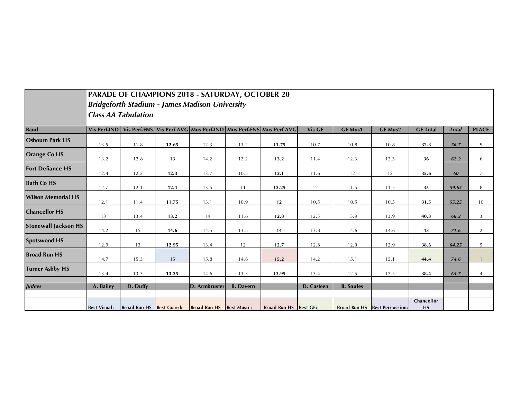|                             |                     | <b>Class AA Tabulation</b> |       | PARADE OF CHAMPIONS 2018 - SATURDAY, OCTOBER 20<br><b>Bridgeforth Stadium - James Madison University</b> |                  |                                                                               |            |                  |                               |                  |              |                |
|-----------------------------|---------------------|----------------------------|-------|----------------------------------------------------------------------------------------------------------|------------------|-------------------------------------------------------------------------------|------------|------------------|-------------------------------|------------------|--------------|----------------|
| <b>Band</b>                 |                     |                            |       |                                                                                                          |                  | Vis Perf-IND Vis Perf-ENS Vis Perf AVG Mus Perf-IND Mus Perf-ENS Mus Perf AVG | Vis GE     | <b>GE Mus1</b>   | <b>GE Mus2</b>                | <b>GE Total</b>  | <b>Total</b> | <b>PLACE</b>   |
| <b>Osbourn Park HS</b>      | 13.5                | 11.8                       | 12.65 | 12.3                                                                                                     | 11.2             | 11.75                                                                         | 10.7       | 10.8             | 10.8                          | 32.3             | 56.7         | 9              |
| <b>Orange Co HS</b>         | 13.2                | 12.8                       | 13    | 14.2                                                                                                     | 12.2             | 13.2                                                                          | 11.4       | 12.3             | 12.3                          | 36               | 62.2         | 6              |
| <b>Fort Defiance HS</b>     | 12.4                | 12.2                       | 12.3  | 13.7                                                                                                     | 10.5             | 12.1                                                                          | 11.6       | 12               | 12                            | 35.6             | 60           | $\overline{7}$ |
| <b>Bath Co HS</b>           | 12.7                | 12.1                       | 12.4  | 13.5                                                                                                     | 11               | 12.25                                                                         | 12         | 11.5             | 11.5                          | 35               | 59.65        | 8              |
| <b>Wilson Memorial HS</b>   | 12.1                | 11.4                       | 11.75 | 13.1                                                                                                     | 10.9             | 12                                                                            | 10.5       | 10.5             | 10.5                          | 31.5             | 55.25        | 10             |
| <b>Chancellor HS</b>        | 13                  | 13.4                       | 13.2  | 14                                                                                                       | 11.6             | 12.8                                                                          | 12.5       | 13.9             | 13.9                          | 40.3             | 66.3         | 3              |
| <b>Stonewall Jackson HS</b> | 14.2                | 15                         | 14.6  | 14.5                                                                                                     | 13.5             | 14                                                                            | 13.8       | 14.6             | 14.6                          | 43               | 71.6         | $\overline{2}$ |
| <b>Spotswood HS</b>         | 12.9                | 13                         | 12.95 | 13.4                                                                                                     | 12               | 12.7                                                                          | 12.8       | 12.9             | 12.9                          | 38.6             | 64.25        | 5              |
| <b>Broad Run HS</b>         | 14.7                | 15.3                       | 15    | 15.8                                                                                                     | 14.6             | 15.2                                                                          | 14.2       | 15.1             | 15.1                          | 44.4             | 74.6         | $\mathbf{1}$   |
| <b>Turner Ashby HS</b>      | 13.4                | 13.3                       | 13.35 | 14.6                                                                                                     | 13.3             | 13.95                                                                         | 13.4       | 12.5             | 12.5                          | 38.4             | 65.7         | $\overline{4}$ |
| <b>Judges</b>               | A. Bailey           | D. Duffy                   |       | D. Armbruster                                                                                            | <b>B.</b> Davern |                                                                               | D. Casteen | <b>B.</b> Soules |                               |                  |              |                |
|                             | <b>Best Visual:</b> | Broad Run HS Best Guard:   |       | Broad Run HS Best Music:                                                                                 |                  | Broad Run HS Best GE:                                                         |            |                  | Broad Run HS Best Percussion: | Chancellor<br>HS |              |                |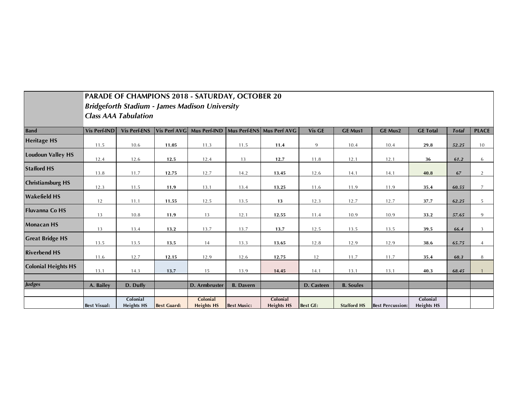|                            |                     |                               |                     | <b>PARADE OF CHAMPIONS 2018 - SATURDAY, OCTOBER 20</b> |                    |                               |                 |                    |                         |                               |              |                |
|----------------------------|---------------------|-------------------------------|---------------------|--------------------------------------------------------|--------------------|-------------------------------|-----------------|--------------------|-------------------------|-------------------------------|--------------|----------------|
|                            |                     |                               |                     | <b>Bridgeforth Stadium - James Madison University</b>  |                    |                               |                 |                    |                         |                               |              |                |
|                            |                     | <b>Class AAA Tabulation</b>   |                     |                                                        |                    |                               |                 |                    |                         |                               |              |                |
| <b>Band</b>                | <b>Vis Perf-IND</b> | <b>Vis Perf-ENS</b>           | <b>Vis Perf AVG</b> | Mus Perf-IND                                           |                    | Mus Perf-ENS Mus Perf AVG     | Vis GE          | <b>GE Mus1</b>     | <b>GE Mus2</b>          | <b>GE Total</b>               | <b>Total</b> | <b>PLACE</b>   |
| <b>Heritage HS</b>         | 11.5                | 10.6                          | 11.05               | 11.3                                                   | 11.5               | 11.4                          | 9               | 10.4               | 10.4                    | 29.8                          | 52.25        | 10             |
| <b>Loudoun Valley HS</b>   | 12.4                | 12.6                          | 12.5                | 12.4                                                   | 13                 | 12.7                          | 11.8            | 12.1               | 12.1                    | 36                            | 61.2         | 6              |
| <b>Stafford HS</b>         | 13.8                | 11.7                          | 12.75               | 12.7                                                   | 14.2               | 13.45                         | 12.6            | 14.1               | 14.1                    | 40.8                          | 67           | 2              |
| <b>Christiansburg HS</b>   | 12.3                | 11.5                          | 11.9                | 13.1                                                   | 13.4               | 13.25                         | 11.6            | 11.9               | 11.9                    | 35.4                          | 60.55        | $\overline{7}$ |
| <b>Wakefield HS</b>        | 12                  | 11.1                          | 11.55               | 12.5                                                   | 13.5               | 13                            | 12.3            | 12.7               | 12.7                    | 37.7                          | 62.25        | 5              |
| <b>Fluvanna Co HS</b>      | 13                  | 10.8                          | 11.9                | 13                                                     | 12.1               | 12.55                         | 11.4            | 10.9               | 10.9                    | 33.2                          | 57.65        | 9              |
| <b>Monacan HS</b>          | 13                  | 13.4                          | 13.2                | 13.7                                                   | 13.7               | 13.7                          | 12.5            | 13.5               | 13.5                    | 39.5                          | 66.4         | 3              |
| <b>Great Bridge HS</b>     | 13.5                | 13.5                          | 13.5                | 14                                                     | 13.3               | 13.65                         | 12.8            | 12.9               | 12.9                    | 38.6                          | 65.75        | $\overline{4}$ |
| <b>Riverbend HS</b>        | 11.6                | 12.7                          | 12.15               | 12.9                                                   | 12.6               | 12.75                         | 12              | 11.7               | 11.7                    | 35.4                          | 60.3         | 8              |
| <b>Colonial Heights HS</b> | 13.1                | 14.3                          | 13.7                | 15                                                     | 13.9               | 14.45                         | 14.1            | 13.1               | 13.1                    | 40.3                          | 68.45        |                |
| <b>Judges</b>              | A. Bailey           | D. Duffy                      |                     | D. Armbruster                                          | <b>B.</b> Davern   |                               | D. Casteen      | <b>B.</b> Soules   |                         |                               |              |                |
|                            | <b>Best Visual:</b> | Colonial<br><b>Heights HS</b> | <b>Best Guard:</b>  | Colonial<br><b>Heights HS</b>                          | <b>Best Music:</b> | Colonial<br><b>Heights HS</b> | <b>Best GE:</b> | <b>Stafford HS</b> | <b>Best Percussion:</b> | Colonial<br><b>Heights HS</b> |              |                |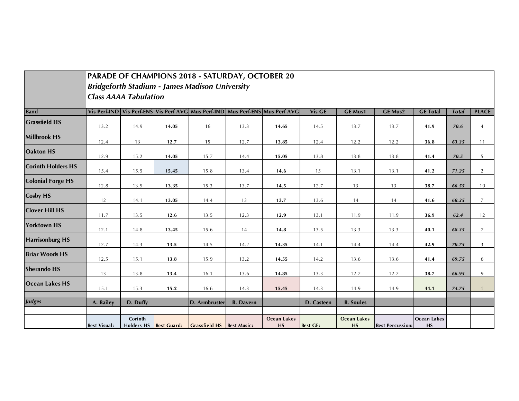|                           |                              |          |                        | PARADE OF CHAMPIONS 2018 - SATURDAY, OCTOBER 20       |                  |                                                                                         |                 |                                 |                         |                   |              |                |
|---------------------------|------------------------------|----------|------------------------|-------------------------------------------------------|------------------|-----------------------------------------------------------------------------------------|-----------------|---------------------------------|-------------------------|-------------------|--------------|----------------|
|                           |                              |          |                        | <b>Bridgeforth Stadium - James Madison University</b> |                  |                                                                                         |                 |                                 |                         |                   |              |                |
|                           | <b>Class AAAA Tabulation</b> |          |                        |                                                       |                  |                                                                                         |                 |                                 |                         |                   |              |                |
| <b>Band</b>               |                              |          |                        |                                                       |                  | Vis Perf-IND   Vis Perf-ENS   Vis Perf AVG   Mus Perf-IND   Mus Perf-ENS   Mus Perf AVG | Vis GE          | <b>GE Mus1</b>                  | <b>GE Mus2</b>          | <b>GE Total</b>   | <b>Total</b> | <b>PLACE</b>   |
| <b>Grassfield HS</b>      | 13.2                         | 14.9     | 14.05                  | 16                                                    | 13.3             | 14.65                                                                                   | 14.5            | 13.7                            | 13.7                    | 41.9              | 70.6         | $\overline{4}$ |
| <b>Millbrook HS</b>       | 12.4                         | 13       | 12.7                   | 15                                                    | 12.7             | 13.85                                                                                   | 12.4            | 12.2                            | 12.2                    | 36.8              | 63.35        | 11             |
| <b>Oakton HS</b>          | 12.9                         | 15.2     | 14.05                  | 15.7                                                  | 14.4             | 15.05                                                                                   | 13.8            | 13.8                            | 13.8                    | 41.4              | 70.5         | 5              |
| <b>Corinth Holders HS</b> | 15.4                         | 15.5     | 15.45                  | 15.8                                                  | 13.4             | 14.6                                                                                    | 15              | 13.1                            | 13.1                    | 41.2              | 71.25        | $\overline{2}$ |
| <b>Colonial Forge HS</b>  | 12.8                         | 13.9     | 13.35                  | 15.3                                                  | 13.7             | 14.5                                                                                    | 12.7            | 13                              | 13                      | 38.7              | 66.55        | 10             |
| <b>Cosby HS</b>           | 12                           | 14.1     | 13.05                  | 14.4                                                  | 13               | 13.7                                                                                    | 13.6            | 14                              | 14                      | 41.6              | 68.35        | 7              |
| <b>Clover Hill HS</b>     | 11.7                         | 13.5     | 12.6                   | 13.5                                                  | 12.3             | 12.9                                                                                    | 13.1            | 11.9                            | 11.9                    | 36.9              | 62.4         | 12             |
| <b>Yorktown HS</b>        | 12.1                         | 14.8     | 13.45                  | 15.6                                                  | 14               | 14.8                                                                                    | 13.5            | 13.3                            | 13.3                    | 40.1              | 68.35        | $\overline{7}$ |
| <b>Harrisonburg HS</b>    | 12.7                         | 14.3     | 13.5                   | 14.5                                                  | 14.2             | 14.35                                                                                   | 14.1            | 14.4                            | 14.4                    | 42.9              | 70.75        | 3              |
| <b>Briar Woods HS</b>     | 12.5                         | 15.1     | 13.8                   | 15.9                                                  | 13.2             | 14.55                                                                                   | 14.2            | 13.6                            | 13.6                    | 41.4              | 69.75        | 6              |
| <b>Sherando HS</b>        | 13                           | 13.8     | 13.4                   | 16.1                                                  | 13.6             | 14.85                                                                                   | 13.3            | 12.7                            | 12.7                    | 38.7              | 66.95        | 9              |
| <b>Ocean Lakes HS</b>     | 15.1                         | 15.3     | 15.2                   | 16.6                                                  | 14.3             | 15.45                                                                                   | 14.3            | 14.9                            | 14.9                    | 44.1              | 74.75        |                |
| <b>Judges</b>             | A. Bailey                    | D. Duffy |                        | D. Armbruster                                         | <b>B.</b> Davern |                                                                                         | D. Casteen      | <b>B.</b> Soules                |                         |                   |              |                |
|                           | <b>Best Visual:</b>          | Corinth  | Holders HS Best Guard: | Grassfield HS Best Music:                             |                  | <b>Ocean Lakes</b><br><b>HS</b>                                                         | <b>Best GE:</b> | <b>Ocean Lakes</b><br><b>HS</b> | <b>Best Percussion:</b> | Ocean Lakes<br>HS |              |                |